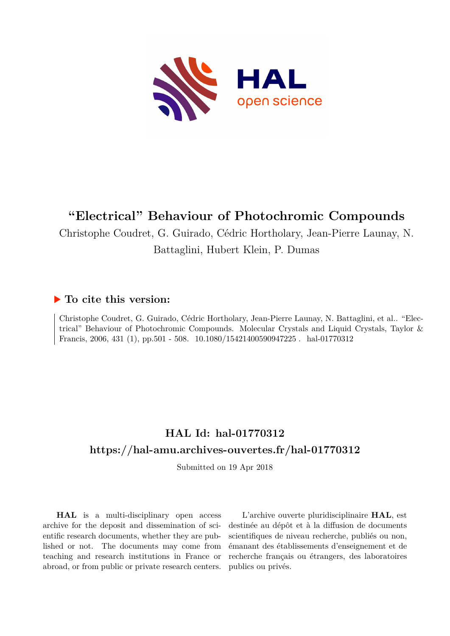

# **"Electrical" Behaviour of Photochromic Compounds**

Christophe Coudret, G. Guirado, Cédric Hortholary, Jean-Pierre Launay, N.

## Battaglini, Hubert Klein, P. Dumas

## **To cite this version:**

Christophe Coudret, G. Guirado, Cédric Hortholary, Jean-Pierre Launay, N. Battaglini, et al.. "Electrical" Behaviour of Photochromic Compounds. Molecular Crystals and Liquid Crystals, Taylor & Francis, 2006, 431 (1), pp.501 - 508.  $10.1080/15421400590947225$ . hal-01770312

# **HAL Id: hal-01770312 <https://hal-amu.archives-ouvertes.fr/hal-01770312>**

Submitted on 19 Apr 2018

**HAL** is a multi-disciplinary open access archive for the deposit and dissemination of scientific research documents, whether they are published or not. The documents may come from teaching and research institutions in France or abroad, or from public or private research centers.

L'archive ouverte pluridisciplinaire **HAL**, est destinée au dépôt et à la diffusion de documents scientifiques de niveau recherche, publiés ou non, émanant des établissements d'enseignement et de recherche français ou étrangers, des laboratoires publics ou privés.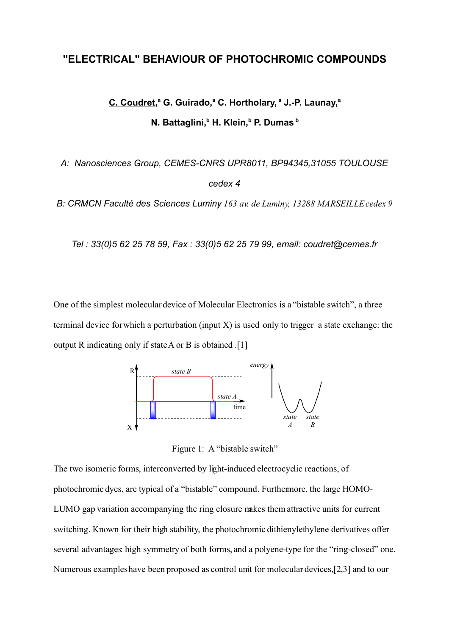# **"ELECTRICAL" BEHAVIOUR OF PHOTOCHROMIC COMPOUNDS**

**C. Coudret, a G. Guirado,<sup>a</sup> C. Hortholary, <sup>a</sup> J.-P. Launay, a N. Battaglini,<sup>b</sup> H. Klein,<sup>b</sup> P. Dumas<sup>b</sup>**

*A: Nanosciences Group, CEMES-CNRS UPR8011, BP94345,31055 TOULOUSE cedex 4*

*B: CRMCN Faculté des Sciences Luminy 163 av. de Luminy, 13288 MARSEILLE cedex 9*

*Tel : 33(0)5 62 25 78 59, Fax : 33(0)5 62 25 79 99, email: coudret@cemes.fr*

One of the simplest molecular device of Molecular Electronics is a "bistable switch", a three terminal device for which a perturbation (input X) is used only to trigger a state exchange: the output R indicating only if state A or B is obtained .[1]



Figure 1: A "bistable switch"

The two isomeric forms, interconverted by light-induced electrocyclic reactions, of photochromic dyes, are typical of a "bistable" compound. Furthermore, the large HOMO-LUMO gap variation accompanying the ring closure makes them attractive units for current switching. Known for their high stability, the photochromic dithienylethylene derivatives offer several advantages high symmetry of both forms, and a polyene-type for the "ring-closed" one. Numerous examples have been proposed as control unit for molecular devices,[2,3] and to our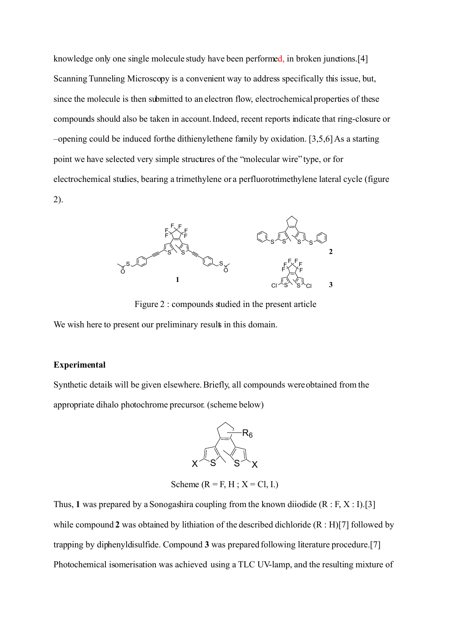knowledge only one single molecule study have been performed, in broken junctions.[4] Scanning Tunneling Microscopy is a convenient way to address specifically this issue, but, since the molecule is then submitted to an electron flow, electrochemical properties of these compounds should also be taken in account. Indeed, recent reports indicate that ring-closure or –opening could be induced for the dithienylethene family by oxidation. [3,5,6] As a starting point we have selected very simple structures of the "molecular wire" type, or for electrochemical studies, bearing a trimethylene or a perfluorotrimethylene lateral cycle (figure 2).



Figure 2 : compounds studied in the present article

We wish here to present our preliminary results in this domain.

#### **Experimental**

Synthetic details will be given elsewhere. Briefly, all compounds were obtained from the appropriate dihalo photochrome precursor. (scheme below)



Scheme ( $R = F$ ,  $H$ ;  $X = Cl$ , I.)

Thus, 1 was prepared by a Sonogashira coupling from the known diiodide  $(R : F, X : I)$ .[3] while compound 2 was obtained by lithiation of the described dichloride  $(R : H)$ [7] followed by trapping by diphenyldisulfide. Compound **3** was prepared following literature procedure.[7] Photochemical isomerisation was achieved using a TLC UV-lamp, and the resulting mixture of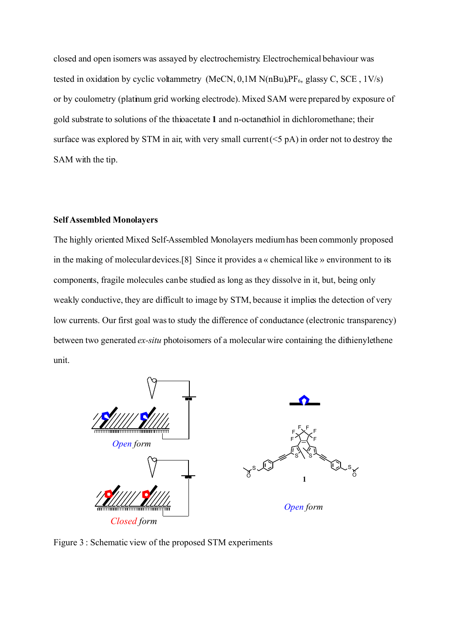closed and open isomers was assayed by electrochemistry. Electrochemical behaviour was tested in oxidation by cyclic voltammetry (MeCN,  $0, 1M$  N( $nBu$  $F_6$ , glassy C, SCE,  $1V/s$ ) or by coulometry (platinum grid working electrode). Mixed SAM were prepared by exposure of gold substrate to solutions of the thioacetate **1** and n-octanethiol in dichloromethane; their surface was explored by STM in air, with very small current  $(5 pA)$  in order not to destroy the SAM with the tip.

### **Self Assembled Monolayers**

The highly oriented Mixed Self-Assembled Monolayers medium has been commonly proposed in the making of molecular devices.[8] Since it provides a « chemical like » environment to its components, fragile molecules can be studied as long as they dissolve in it, but, being only weakly conductive, they are difficult to image by STM, because it implies the detection of very low currents. Our first goal was to study the difference of conductance (electronic transparency) between two generated *ex-situ* photoisomers of a molecular wire containing the dithienylethene unit.



Figure 3 : Schematic view of the proposed STM experiments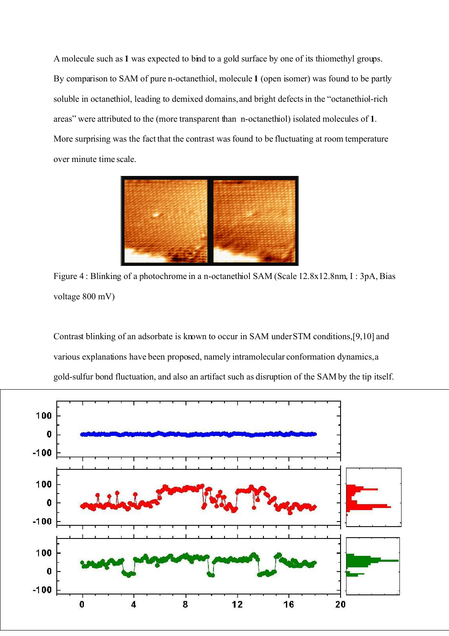A molecule such as **1** was expected to bind to a gold surface by one of its thiomethyl groups. By comparison to SAM of pure n-octanethiol, molecule **1** (open isomer) was found to be partly soluble in octanethiol, leading to demixed domains, and bright defects in the "octanethiol-rich areas" were attributed to the (more transparent than n-octanethiol) isolated molecules of **1**. More surprising was the fact that the contrast was found to be fluctuating at room temperature over minute time scale.



Figure 4 : Blinking of a photochrome in a n-octanethiol SAM (Scale 12.8x12.8nm, I : 3pA, Bias voltage 800 mV)

Contrast blinking of an adsorbate is known to occur in SAM under STM conditions, [9,10] and various explanations have been proposed, namely intramolecular conformation dynamics, a gold-sulfur bond fluctuation, and also an artifact such as disruption of the SAM by the tip itself.

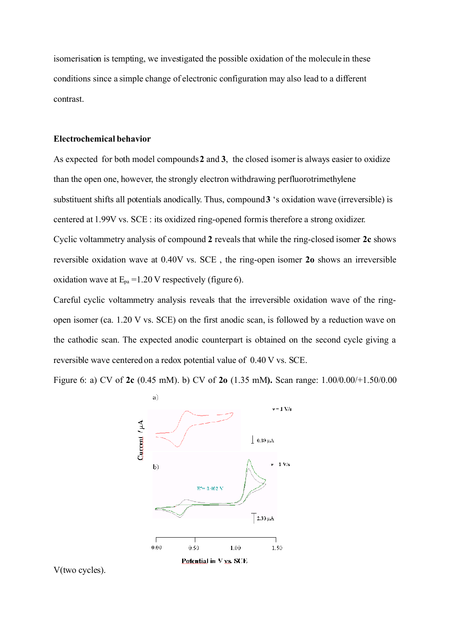isomerisation is tempting, we investigated the possible oxidation of the molecule in these conditions since a simple change of electronic configuration may also lead to a different contrast.

### **Electrochemical behavior**

As expected for both model compounds **2** and **3**, the closed isomer is always easier to oxidize than the open one, however, the strongly electron withdrawing perfluorotrimethylene substituent shifts all potentials anodically. Thus, compound **3** 's oxidation wave (irreversible) is centered at 1.99V vs. SCE : its oxidized ring-opened form is therefore a strong oxidizer. Cyclic voltammetry analysis of compound **2** reveals that while the ring-closed isomer **2c** shows reversible oxidation wave at 0.40V vs. SCE , the ring-open isomer **2o** shows an irreversible oxidation wave at  $E_{pa} = 1.20$  V respectively (figure 6).

Careful cyclic voltammetry analysis reveals that the irreversible oxidation wave of the ringopen isomer (ca. 1.20 V vs. SCE) on the first anodic scan, is followed by a reduction wave on the cathodic scan. The expected anodic counterpart is obtained on the second cycle giving a reversible wave centered on a redox potential value of 0.40 V vs. SCE.

Figure 6: a) CV of **2c** (0.45 mM). b) CV of **2o** (1.35 mM**).** Scan range: 1.00/0.00/+1.50/0.00



V(two cycles).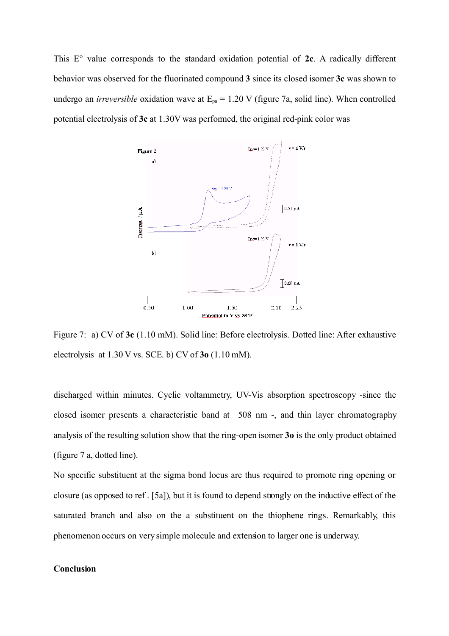This E° value corresponds to the standard oxidation potential of **2c**. A radically different behavior was observed for the fluorinated compound **3** since its closed isomer **3c** was shown to undergo an *irreversible* oxidation wave at  $E_{pa} = 1.20$  V (figure 7a, solid line). When controlled potential electrolysis of **3c** at 1.30V was performed, the original red-pink color was



Figure 7: a) CV of **3c** (1.10 mM). Solid line: Before electrolysis. Dotted line: After exhaustive electrolysis at 1.30 V vs. SCE. b) CV of **3o** (1.10 mM).

discharged within minutes. Cyclic voltammetry, UV-Vis absorption spectroscopy -since the closed isomer presents a characteristic band at 508 nm -, and thin layer chromatography analysis of the resulting solution show that the ring-open isomer **3o** is the only product obtained (figure 7 a, dotted line).

No specific substituent at the sigma bond locus are thus required to promote ring opening or closure (as opposed to ref . [5a]), but it is found to depend strongly on the inductive effect of the saturated branch and also on the a substituent on the thiophene rings. Remarkably, this phenomenon occurs on very simple molecule and extension to larger one is underway.

### **Conclusion**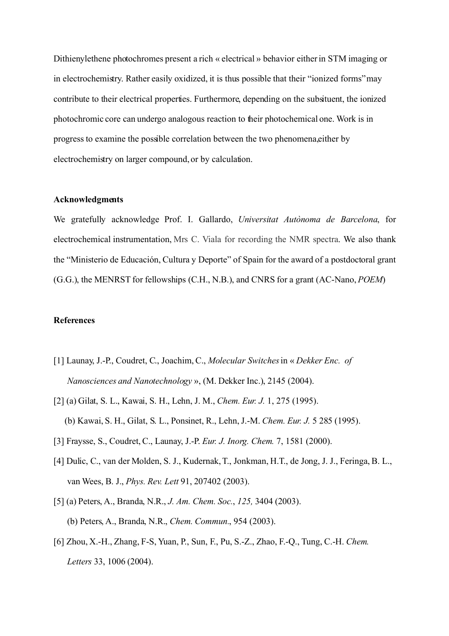Dithienylethene photochromes present a rich « electrical » behavior either in STM imaging or in electrochemistry. Rather easily oxidized, it is thus possible that their "ionized forms" may contribute to their electrical properties. Furthermore, depending on the subsituent, the ionized photochromic core can undergo analogous reaction to their photochemical one. Work is in progress to examine the possible correlation between the two phenomena, either by electrochemistry on larger compound, or by calculation.

#### **Acknowledgments**

We gratefully acknowledge Prof. I. Gallardo, *Universitat Autònoma de Barcelona*, for electrochemical instrumentation, Mrs C. Viala for recording the NMR spectra. We also thank the "Ministerio de Educación, Cultura y Deporte" of Spain for the award of a postdoctoral grant (G.G.), the MENRST for fellowships (C.H., N.B.), and CNRS for a grant (AC-Nano, *POEM*)

#### **References**

- [1] Launay, J.-P., Coudret, C., Joachim, C., *Molecular Switches* in « *Dekker Enc. of Nanosciences and Nanotechnology* », (M. Dekker Inc.), 2145 (2004).
- [2] (a) Gilat, S. L., Kawai, S. H., Lehn, J. M., *Chem. Eur. J.* 1, 275 (1995). (b) Kawai, S. H., Gilat, S. L., Ponsinet, R., Lehn, J.-M. *Chem. Eur. J.* 5 285 (1995).
- [3] Fraysse, S., Coudret, C., Launay, J.-P. *Eur. J. Inorg. Chem.* 7, 1581 (2000).
- [4] Dulic, C., van der Molden, S. J., Kudernak, T., Jonkman, H.T., de Jong, J. J., Feringa, B. L., van Wees, B. J., *Phys. Rev. Lett* 91, 207402 (2003).
- [5] (a) Peters, A., Branda, N.R., *J. Am. Chem. Soc.*, *125,* 3404 (2003). (b) Peters, A., Branda, N.R., *Chem. Commun.*, 954 (2003).
- [6] Zhou, X.-H., Zhang, F-S, Yuan, P., Sun, F., Pu, S.-Z., Zhao, F.-Q., Tung, C.-H. *Chem. Letters* 33, 1006 (2004).